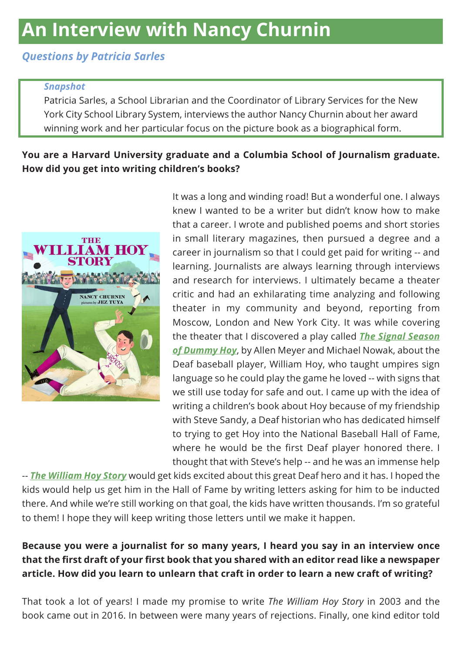# *Questions by Patricia Sarles*

#### *Snapshot*

Patricia Sarles, a School Librarian and the Coordinator of Library Services for the New York City School Library System, interviews the author Nancy Churnin about her award winning work and her particular focus on the picture book as a biographical form.

### **You are a Harvard University graduate and a Columbia School of Journalism graduate. How did you get into writing children's books?**



It was a long and winding road! But a wonderful one. I always knew I wanted to be a writer but didn't know how to make that a career. I wrote and published poems and short stories in small literary magazines, then pursued a degree and a career in journalism so that I could get paid for writing -- and learning. Journalists are always learning through interviews and research for interviews. I ultimately became a theater critic and had an exhilarating time analyzing and following theater in my community and beyond, reporting from Moscow, London and New York City. It was while covering the theater that I discovered a play called *[The Signal Season](https://www.worldcat.org/title/signal-season-of-dummy-hoy/oclc/50911440&referer=brief_results)  [of Dummy Hoy](https://www.worldcat.org/title/signal-season-of-dummy-hoy/oclc/50911440&referer=brief_results)*, by Allen Meyer and Michael Nowak, about the Deaf baseball player, William Hoy, who taught umpires sign language so he could play the game he loved -- with signs that we still use today for safe and out. I came up with the idea of writing a children's book about Hoy because of my friendship with Steve Sandy, a Deaf historian who has dedicated himself to trying to get Hoy into the National Baseball Hall of Fame, where he would be the first Deaf player honored there. I thought that with Steve's help -- and he was an immense help

-- *[The William Hoy Story](https://www.worldcat.org/title/william-hoy-story-how-a-deaf-baseball-player-changed-the-game/oclc/921867855&referer=brief_results)* would get kids excited about this great Deaf hero and it has. I hoped the kids would help us get him in the Hall of Fame by writing letters asking for him to be inducted there. And while we're still working on that goal, the kids have written thousands. I'm so grateful to them! I hope they will keep writing those letters until we make it happen.

## **Because you were a journalist for so many years, I heard you say in an interview once that the first draft of your first book that you shared with an editor read like a newspaper article. How did you learn to unlearn that craft in order to learn a new craft of writing?**

That took a lot of years! I made my promise to write *The William Hoy Story* in 2003 and the book came out in 2016. In between were many years of rejections. Finally, one kind editor told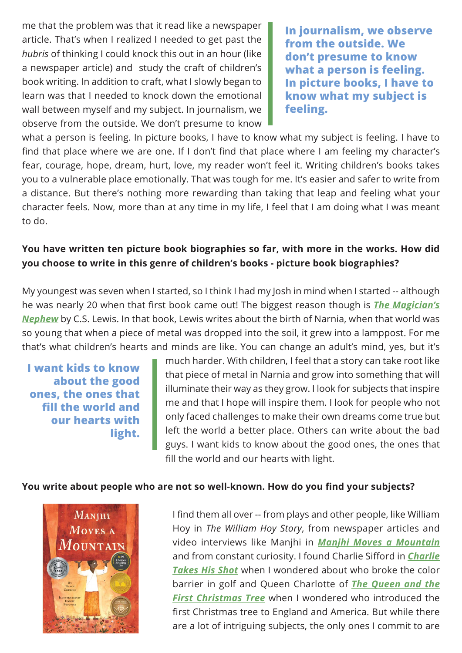me that the problem was that it read like a newspaper article. That's when I realized I needed to get past the *hubris* of thinking I could knock this out in an hour (like a newspaper article) and study the craft of children's book writing. In addition to craft, what I slowly began to learn was that I needed to knock down the emotional wall between myself and my subject. In journalism, we observe from the outside. We don't presume to know

**In journalism, we observe from the outside. We don't presume to know what a person is feeling. In picture books, I have to know what my subject is feeling.**

what a person is feeling. In picture books, I have to know what my subject is feeling. I have to find that place where we are one. If I don't find that place where I am feeling my character's fear, courage, hope, dream, hurt, love, my reader won't feel it. Writing children's books takes you to a vulnerable place emotionally. That was tough for me. It's easier and safer to write from a distance. But there's nothing more rewarding than taking that leap and feeling what your character feels. Now, more than at any time in my life, I feel that I am doing what I was meant to do.

### **You have written ten picture book biographies so far, with more in the works. How did you choose to write in this genre of children's books - picture book biographies?**

My youngest was seven when I started, so I think I had my Josh in mind when I started -- although he was nearly 20 when that first book came out! The biggest reason though is *[The Magician's](https://www.worldcat.org/title/magicians-nephew-1/oclc/891630153&referer=brief_results)  [Nephew](https://www.worldcat.org/title/magicians-nephew-1/oclc/891630153&referer=brief_results)* by C.S. Lewis. In that book, Lewis writes about the birth of Narnia, when that world was so young that when a piece of metal was dropped into the soil, it grew into a lamppost. For me that's what children's hearts and minds are like. You can change an adult's mind, yes, but it's

**I want kids to know about the good ones, the ones that fill the world and our hearts with light.**

much harder. With children, I feel that a story can take root like that piece of metal in Narnia and grow into something that will illuminate their way as they grow. I look for subjects that inspire me and that I hope will inspire them. I look for people who not only faced challenges to make their own dreams come true but left the world a better place. Others can write about the bad guys. I want kids to know about the good ones, the ones that fill the world and our hearts with light.

#### **You write about people who are not so well-known. How do you find your subjects?**



I find them all over -- from plays and other people, like William Hoy in *The William Hoy Story*, from newspaper articles and video interviews like Manjhi in *[Manjhi Moves a Mountain](https://www.worldcat.org/title/manjhi-moves-a-mountain/oclc/1048308049?referer=br&ht=edition)* and from constant curiosity. I found Charlie Sifford in *[Charlie](https://www.worldcat.org/title/charlie-takes-his-shot-how-charlie-sifford-broke-the-color-barrier-in-golf/oclc/1020144758?referer=br&ht=edition)  [Takes His Shot](https://www.worldcat.org/title/charlie-takes-his-shot-how-charlie-sifford-broke-the-color-barrier-in-golf/oclc/1020144758?referer=br&ht=edition)* when I wondered about who broke the color barrier in golf and Queen Charlotte of *[The Queen and the](https://www.worldcat.org/title/queen-and-the-first-christmas-tree-queen-charlottes-gift-to-england/oclc/1024087456&referer=brief_results)  [First Christmas Tree](https://www.worldcat.org/title/queen-and-the-first-christmas-tree-queen-charlottes-gift-to-england/oclc/1024087456&referer=brief_results)* when I wondered who introduced the first Christmas tree to England and America. But while there are a lot of intriguing subjects, the only ones I commit to are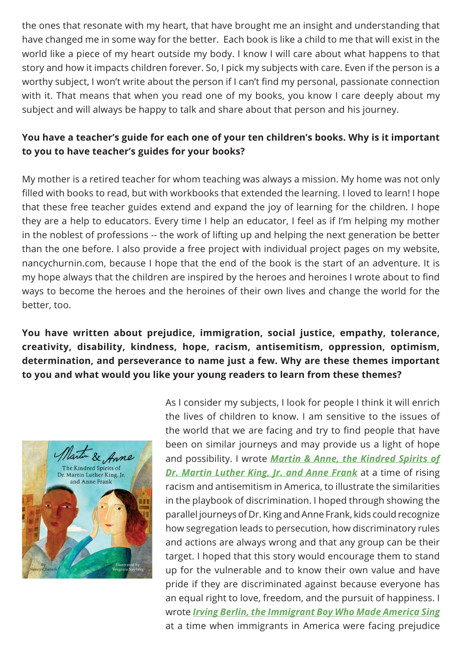the ones that resonate with my heart, that have brought me an insight and understanding that have changed me in some way for the better. Each book is like a child to me that will exist in the world like a piece of my heart outside my body. I know I will care about what happens to that story and how it impacts children forever. So, I pick my subjects with care. Even if the person is a worthy subject, I won't write about the person if I can't find my personal, passionate connection with it. That means that when you read one of my books, you know I care deeply about my subject and will always be happy to talk and share about that person and his journey.

## **You have a teacher's guide for each one of your ten children's books. Why is it important to you to have teacher's guides for your books?**

My mother is a retired teacher for whom teaching was always a mission. My home was not only filled with books to read, but with workbooks that extended the learning. I loved to learn! I hope that these free teacher guides extend and expand the joy of learning for the children. I hope they are a help to educators. Every time I help an educator, I feel as if I'm helping my mother in the noblest of professions -- the work of lifting up and helping the next generation be better than the one before. I also provide a free project with individual project pages on my website, nancychurnin.com, because I hope that the end of the book is the start of an adventure. It is my hope always that the children are inspired by the heroes and heroines I wrote about to find ways to become the heroes and the heroines of their own lives and change the world for the better, too.

**You have written about prejudice, immigration, social justice, empathy, tolerance, creativity, disability, kindness, hope, racism, antisemitism, oppression, optimism, determination, and perseverance to name just a few. Why are these themes important to you and what would you like your young readers to learn from these themes?**



As I consider my subjects, I look for people I think it will enrich the lives of children to know. I am sensitive to the issues of the world that we are facing and try to find people that have been on similar journeys and may provide us a light of hope and possibility. I wrote *[Martin & Anne, the Kindred Spirits of](https://www.worldcat.org/title/martin-anne-the-kindred-spirits-of-dr-martin-luther-king-jr-and-anne-frank/oclc/1089757114&referer=brief_results)  [Dr. Martin Luther King, Jr. and Anne Frank](https://www.worldcat.org/title/martin-anne-the-kindred-spirits-of-dr-martin-luther-king-jr-and-anne-frank/oclc/1089757114&referer=brief_results)* at a time of rising racism and antisemitism in America, to illustrate the similarities in the playbook of discrimination. I hoped through showing the parallel journeys of Dr. King and Anne Frank, kids could recognize how segregation leads to persecution, how discriminatory rules and actions are always wrong and that any group can be their target. I hoped that this story would encourage them to stand up for the vulnerable and to know their own value and have pride if they are discriminated against because everyone has an equal right to love, freedom, and the pursuit of happiness. I wrote *[Irving Berlin, the Immigrant Boy Who Made America Sing](https://www.worldcat.org/title/irving-berlin-the-immigrant-boy-who-made-america-sing/oclc/1065323954&referer=brief_results)*  at a time when immigrants in America were facing prejudice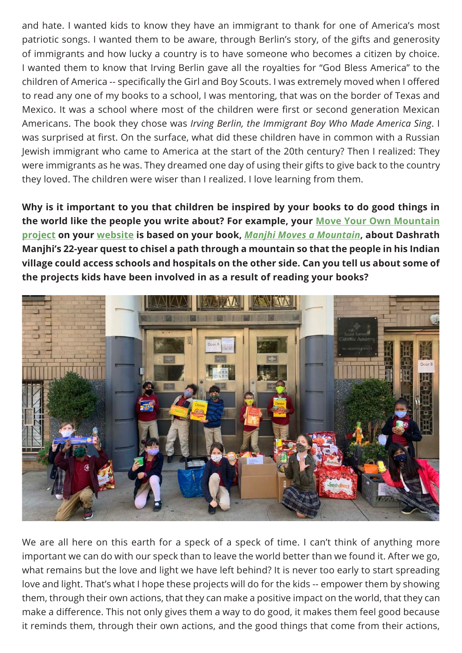and hate. I wanted kids to know they have an immigrant to thank for one of America's most patriotic songs. I wanted them to be aware, through Berlin's story, of the gifts and generosity of immigrants and how lucky a country is to have someone who becomes a citizen by choice. I wanted them to know that Irving Berlin gave all the royalties for "God Bless America" to the children of America -- specifically the Girl and Boy Scouts. I was extremely moved when I offered to read any one of my books to a school, I was mentoring, that was on the border of Texas and Mexico. It was a school where most of the children were first or second generation Mexican Americans. The book they chose was *Irving Berlin, the Immigrant Boy Who Made America Sing*. I was surprised at first. On the surface, what did these children have in common with a Russian Jewish immigrant who came to America at the start of the 20th century? Then I realized: They were immigrants as he was. They dreamed one day of using their gifts to give back to the country they loved. The children were wiser than I realized. I love learning from them.

**Why is it important to you that children be inspired by your books to do good things in the world like the people you write about? For example, your [Move Your Own Mountain](https://www.nancychurnin.com/move-your-own-mountain)  [project](https://www.nancychurnin.com/move-your-own-mountain) on your [website](http://www.nancychurnin.com/) is based on your book,** *[Manjhi Moves a Mountain](https://www.amazon.com.au/Manjhi-Moves-Mountain-Nancy-Churnin/dp/1939547342/)***, about Dashrath Manjhi's 22-year quest to chisel a path through a mountain so that the people in his Indian village could access schools and hospitals on the other side. Can you tell us about some of the projects kids have been involved in as a result of reading your books?**



We are all here on this earth for a speck of a speck of time. I can't think of anything more important we can do with our speck than to leave the world better than we found it. After we go, what remains but the love and light we have left behind? It is never too early to start spreading love and light. That's what I hope these projects will do for the kids -- empower them by showing them, through their own actions, that they can make a positive impact on the world, that they can make a difference. This not only gives them a way to do good, it makes them feel good because it reminds them, through their own actions, and the good things that come from their actions,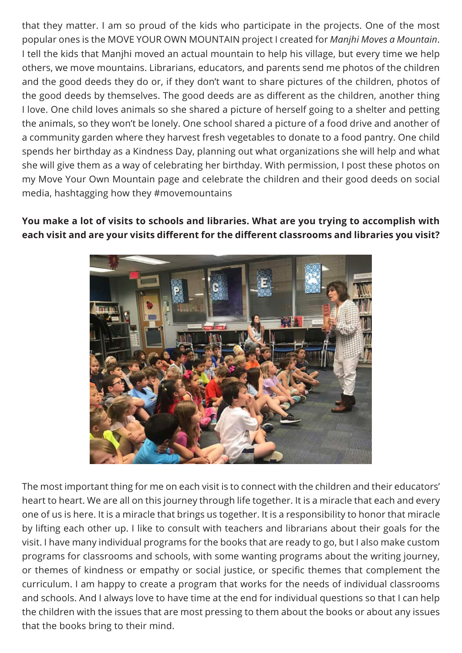that they matter. I am so proud of the kids who participate in the projects. One of the most popular ones is the MOVE YOUR OWN MOUNTAIN project I created for *Manjhi Moves a Mountain*. I tell the kids that Manjhi moved an actual mountain to help his village, but every time we help others, we move mountains. Librarians, educators, and parents send me photos of the children and the good deeds they do or, if they don't want to share pictures of the children, photos of the good deeds by themselves. The good deeds are as different as the children, another thing I love. One child loves animals so she shared a picture of herself going to a shelter and petting the animals, so they won't be lonely. One school shared a picture of a food drive and another of a community garden where they harvest fresh vegetables to donate to a food pantry. One child spends her birthday as a Kindness Day, planning out what organizations she will help and what she will give them as a way of celebrating her birthday. With permission, I post these photos on my Move Your Own Mountain page and celebrate the children and their good deeds on social media, hashtagging how they #movemountains

**You make a lot of visits to schools and libraries. What are you trying to accomplish with each visit and are your visits different for the different classrooms and libraries you visit?**



The most important thing for me on each visit is to connect with the children and their educators' heart to heart. We are all on this journey through life together. It is a miracle that each and every one of us is here. It is a miracle that brings us together. It is a responsibility to honor that miracle by lifting each other up. I like to consult with teachers and librarians about their goals for the visit. I have many individual programs for the books that are ready to go, but I also make custom programs for classrooms and schools, with some wanting programs about the writing journey, or themes of kindness or empathy or social justice, or specific themes that complement the curriculum. I am happy to create a program that works for the needs of individual classrooms and schools. And I always love to have time at the end for individual questions so that I can help the children with the issues that are most pressing to them about the books or about any issues that the books bring to their mind.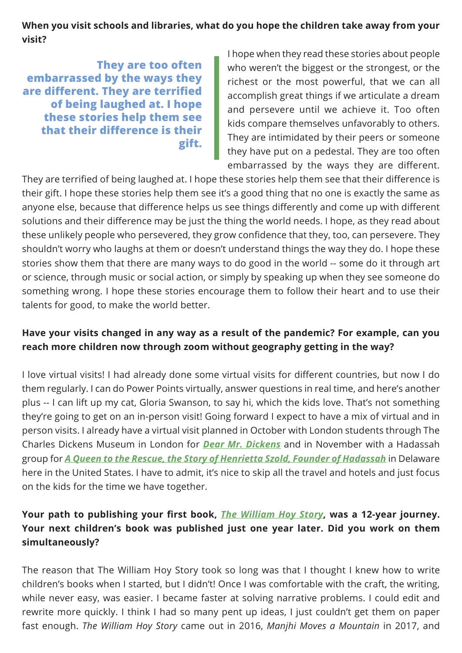**When you visit schools and libraries, what do you hope the children take away from your visit?**

**They are too often embarrassed by the ways they are different. They are terrified of being laughed at. I hope these stories help them see that their difference is their gift.**

I hope when they read these stories about people who weren't the biggest or the strongest, or the richest or the most powerful, that we can all accomplish great things if we articulate a dream and persevere until we achieve it. Too often kids compare themselves unfavorably to others. They are intimidated by their peers or someone they have put on a pedestal. They are too often embarrassed by the ways they are different.

They are terrified of being laughed at. I hope these stories help them see that their difference is their gift. I hope these stories help them see it's a good thing that no one is exactly the same as anyone else, because that difference helps us see things differently and come up with different solutions and their difference may be just the thing the world needs. I hope, as they read about these unlikely people who persevered, they grow confidence that they, too, can persevere. They shouldn't worry who laughs at them or doesn't understand things the way they do. I hope these stories show them that there are many ways to do good in the world -- some do it through art or science, through music or social action, or simply by speaking up when they see someone do something wrong. I hope these stories encourage them to follow their heart and to use their talents for good, to make the world better.

### **Have your visits changed in any way as a result of the pandemic? For example, can you reach more children now through zoom without geography getting in the way?**

I love virtual visits! I had already done some virtual visits for different countries, but now I do them regularly. I can do Power Points virtually, answer questions in real time, and here's another plus -- I can lift up my cat, Gloria Swanson, to say hi, which the kids love. That's not something they're going to get on an in-person visit! Going forward I expect to have a mix of virtual and in person visits. I already have a virtual visit planned in October with London students through The Charles Dickens Museum in London for *[Dear Mr. Dickens](https://www.worldcat.org/title/dear-mr-dickens/oclc/1226799099&referer=brief_results)* and in November with a Hadassah group for *[A Queen to the Rescue, the Story of Henrietta Szold, Founder of Hadassah](https://www.worldcat.org/title/queen-to-the-rescue-the-story-of-henrietta-szoldfounder-of-hadassah/oclc/1246351441&referer=brief_results)* in Delaware here in the United States. I have to admit, it's nice to skip all the travel and hotels and just focus on the kids for the time we have together.

## **Your path to publishing your first book,** *[The William Hoy Story](https://www.amazon.com.au/William-Hoy-Story-Baseball-Changed/dp/0807591920/)***, was a 12-year journey. Your next children's book was published just one year later. Did you work on them simultaneously?**

The reason that The William Hoy Story took so long was that I thought I knew how to write children's books when I started, but I didn't! Once I was comfortable with the craft, the writing, while never easy, was easier. I became faster at solving narrative problems. I could edit and rewrite more quickly. I think I had so many pent up ideas, I just couldn't get them on paper fast enough. *The William Hoy Story* came out in 2016, *Manjhi Moves a Mountain* in 2017, and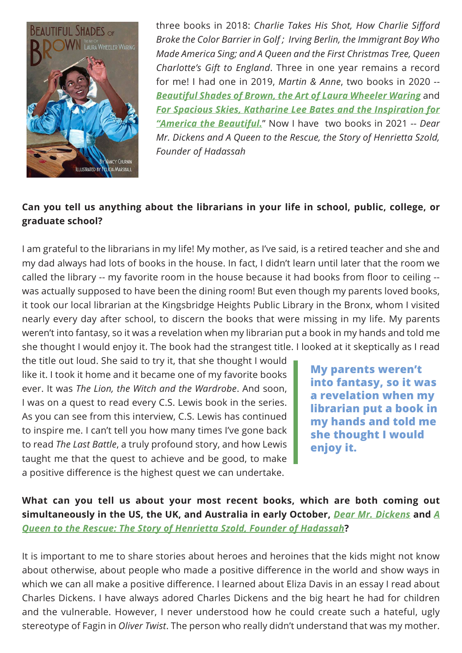

three books in 2018: *Charlie Takes His Shot, How Charlie Sifford Broke the Color Barrier in Golf ; Irving Berlin, the Immigrant Boy Who Made America Sing; and A Queen and the First Christmas Tree, Queen Charlotte's Gift to England*. Three in one year remains a record for me! I had one in 2019, *Martin & Anne*, two books in 2020 -- *[Beautiful Shades of Brown, the Art of Laura Wheeler Waring](https://www.worldcat.org/title/beautiful-shades-of-brown-the-art-of-laura-wheeler-waring/oclc/1138133122&referer=brief_results)* and *[For Spacious Skies, Katharine Lee Bates and the Inspiration for](https://www.worldcat.org/title/for-spacious-skies-katharine-lee-bates-and-the-inspiration-for-america-the-beautiful/oclc/1123184702&referer=brief_results)  ["America the Beautiful.](https://www.worldcat.org/title/for-spacious-skies-katharine-lee-bates-and-the-inspiration-for-america-the-beautiful/oclc/1123184702&referer=brief_results)*" Now I have two books in 2021 -- *Dear Mr. Dickens and A Queen to the Rescue, the Story of Henrietta Szold, Founder of Hadassah*

## **Can you tell us anything about the librarians in your life in school, public, college, or graduate school?**

I am grateful to the librarians in my life! My mother, as I've said, is a retired teacher and she and my dad always had lots of books in the house. In fact, I didn't learn until later that the room we called the library -- my favorite room in the house because it had books from floor to ceiling - was actually supposed to have been the dining room! But even though my parents loved books, it took our local librarian at the Kingsbridge Heights Public Library in the Bronx, whom I visited nearly every day after school, to discern the books that were missing in my life. My parents weren't into fantasy, so it was a revelation when my librarian put a book in my hands and told me she thought I would enjoy it. The book had the strangest title. I looked at it skeptically as I read

the title out loud. She said to try it, that she thought I would like it. I took it home and it became one of my favorite books ever. It was *The Lion, the Witch and the Wardrobe*. And soon, I was on a quest to read every C.S. Lewis book in the series. As you can see from this interview, C.S. Lewis has continued to inspire me. I can't tell you how many times I've gone back to read *The Last Battle*, a truly profound story, and how Lewis taught me that the quest to achieve and be good, to make a positive difference is the highest quest we can undertake.

**My parents weren't into fantasy, so it was a revelation when my librarian put a book in my hands and told me she thought I would enjoy it.**

**What can you tell us about your most recent books, which are both coming out simultaneously in the US, the UK, and Australia in early October,** *[Dear Mr. Dickens](https://www.amazon.com.au/Dear-Mr-Dickens-Nancy-Churnin/dp/0807515302/)* **and** *[A](https://www.amazon.com.au/Queen-Rescue-Henrietta-Founder-Hadassah/dp/1939547954/)  [Queen to the Rescue: The Story of Henrietta Szold, Founder of Hadassah](https://www.amazon.com.au/Queen-Rescue-Henrietta-Founder-Hadassah/dp/1939547954/)***?**

It is important to me to share stories about heroes and heroines that the kids might not know about otherwise, about people who made a positive difference in the world and show ways in which we can all make a positive difference. I learned about Eliza Davis in an essay I read about Charles Dickens. I have always adored Charles Dickens and the big heart he had for children and the vulnerable. However, I never understood how he could create such a hateful, ugly stereotype of Fagin in *Oliver Twist*. The person who really didn't understand that was my mother.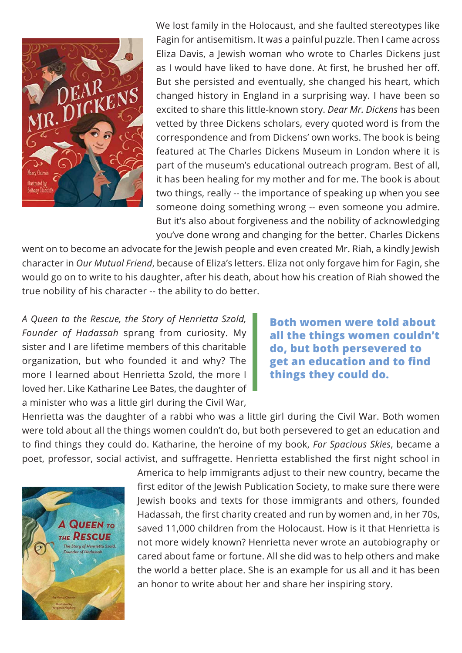

We lost family in the Holocaust, and she faulted stereotypes like Fagin for antisemitism. It was a painful puzzle. Then I came across Eliza Davis, a Jewish woman who wrote to Charles Dickens just as I would have liked to have done. At first, he brushed her off. But she persisted and eventually, she changed his heart, which changed history in England in a surprising way. I have been so excited to share this little-known story. *Dear Mr. Dickens* has been vetted by three Dickens scholars, every quoted word is from the correspondence and from Dickens' own works. The book is being featured at The Charles Dickens Museum in London where it is part of the museum's educational outreach program. Best of all, it has been healing for my mother and for me. The book is about two things, really -- the importance of speaking up when you see someone doing something wrong -- even someone you admire. But it's also about forgiveness and the nobility of acknowledging you've done wrong and changing for the better. Charles Dickens

went on to become an advocate for the Jewish people and even created Mr. Riah, a kindly Jewish character in *Our Mutual Friend*, because of Eliza's letters. Eliza not only forgave him for Fagin, she would go on to write to his daughter, after his death, about how his creation of Riah showed the true nobility of his character -- the ability to do better.

*A Queen to the Rescue, the Story of Henrietta Szold, Founder of Hadassah* sprang from curiosity. My sister and I are lifetime members of this charitable organization, but who founded it and why? The more I learned about Henrietta Szold, the more I loved her. Like Katharine Lee Bates, the daughter of a minister who was a little girl during the Civil War,

**Both women were told about all the things women couldn't do, but both persevered to get an education and to find things they could do.**

Henrietta was the daughter of a rabbi who was a little girl during the Civil War. Both women were told about all the things women couldn't do, but both persevered to get an education and to find things they could do. Katharine, the heroine of my book, *For Spacious Skies*, became a poet, professor, social activist, and suffragette. Henrietta established the first night school in



America to help immigrants adjust to their new country, became the first editor of the Jewish Publication Society, to make sure there were Jewish books and texts for those immigrants and others, founded Hadassah, the first charity created and run by women and, in her 70s, saved 11,000 children from the Holocaust. How is it that Henrietta is not more widely known? Henrietta never wrote an autobiography or cared about fame or fortune. All she did was to help others and make the world a better place. She is an example for us all and it has been an honor to write about her and share her inspiring story.